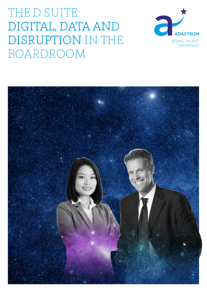# THE D SUITE: DIGITAL, DATA AND DISRUPTION IN THE BOARDROOM



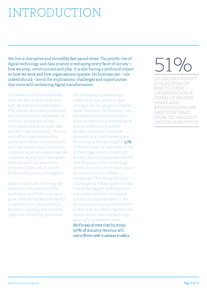# INTRODUCTION

We live in disruptive and incredibly fast paced times. The prolific rise of digital technology and data science is reshaping every facet of society – how we shop, communicate and play. It is also having a profound impact on how we work and how organisations operate. No business can – nor indeed should – avoid the implications, challenges and opportunities that come with embracing digital transformation.

Customers and employees alike have the web at their fingertips 24/7. Mobile technology means that people can make purchasing decisions anytime, anywhere. In addition, people are telling businesses what they want, like and don't like, constantly. This not only offers organisations the potential to enhance interactions with key stakeholders, transform customer experience and engender customer loyalty but it also gives them access to an enormous amount of data, which in turn holds vital business intelligence.

Data in particular is driving the evolution of business and the workspace and this is only set to grow, considering we have barely scratched the surface of the A.I, Machine Learning (ML) and the cognitive computing revolution.

All this emerging technology means that new products and concepts can be bought to market faster than ever. Nimble start-ups and established business giants alike are harnessing technology to disrupt traditional business models, respond to customer demands and steal market share. According to Forbes Insights, 51% of leaders report a high level of risk to their organisation in terms of market share and revenue over the next five years from technology driven disruption from start-ups or innovations by incumbent companies. This brings as many challenges as it does opportunities. One of the biggest challenges for businesses is in how to respond quickly, but appropriately to the disruption occurring around them so that they are able to harness the opportunities that change brings, especially as research from

McKinsey shows that by 2030, 30% of industry revenue will come from new business models.

# 51%

OF LEADERS REPORT A HIGH LEVEL OF RISK TO THEIR ORGANISATION IN TERMS OF MARKET SHARE AND REVENUE OVER THE NEXT FIVE YEARS FROM TECHNOLOGY DRIVEN DISRUPTION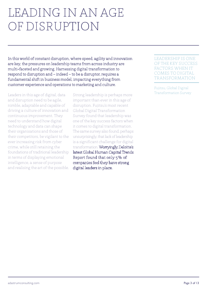### LEADING IN AN AGE OF DISRUPTION

In this world of constant disruption, where speed, agility and innovation are key, the pressures on leadership teams from across industry are multi-faceted and growing. Harnessing digital transformation to respond to disruption and – indeed – to be a disruptor, requires a fundamental shift in business model, impacting everything from customer experience and operations to marketing and culture.

Leaders in this age of digital, data and disruption need to be agile, nimble, adaptable and capable of driving a culture of innovation and continuous improvement. They need to understand how digital technology and data can shape their organisations and those of their competitors, be vigilant to the ever increasing risk from cyber crime, while still retaining the foundations of traditional leadership in terms of displaying emotional intelligence, a sense of purpose and realising the art of the possible.

Strong leadership is perhaps more important than ever in this age of disruption. Fujitsu's most recent Global Digital Transformation Survey found that leadership was one of the key success factors when it comes to digital transformation. The same survey also found, perhaps unsurprisingly, that lack of leadership is a significant challenge for digital transformation. Worryingly, Deloitte's latest Global Human Capital Trends Report found that only 5% of companies feel they have strong digital leaders in place.

#### LEADERSHIP IS ONE OF THE KEY SUCCESS FACTORS WHEN IT COMES TO DIGITAL TRANSFORMATION

Fujitsu, Global Digital Transformation Survey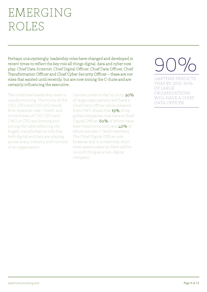## EMERGING ROLES

Perhaps unsurprisingly, leadership roles have changed and developed in recent times to reflect the key role all things digital, data and cyber now play. Chief Data Scientist, Chief Digital Officer, Chief Data Officer, Chief Transformation Officer and Chief Cyber Security Officer – these are not roles that existed until recently, but are now joining the C-Suite and are certainly influencing the executive.

The traditional leadership team is rapidly evolving. The trinity of the CEO, CFO and COO still stands firm, however, new 'Chiefs' and triumvirates of CIO, CDO and CMO or CPO are forming and joining the table reflecting the hugely transformative role that both digital and data are playing across every industry and function of an organisation.

Gartner predicts that by 2019, 90% of large organisations will have a Chief Data Officer while research from PWC shows that 19% of top global companies now have a Chief Digital Officer, 60% of whom have been hired since 2015 and 40% of whom are also C-level members. The Chief Digital Officer role however will in a relatively short time cease to exist as there will be no such thing as a non-digital company.



GARTNER PREDICTS THAT BY 2019, 90% OF LARGE ORGANISATIONS WILL HAVE A CHIEF DATA OFFICER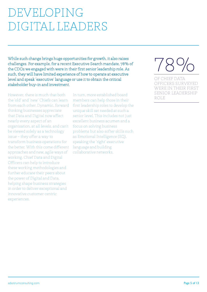# DEVELOPING DIGITAL LEADERS

While such change brings huge opportunities for growth, it also raises challenges. For example, for a recent Executive Search mandate, 78% of the CDOs we engaged with were in their first senior leadership role. As such, they will have limited experience of how to operate at executive level and speak 'executive' language or use it to obtain the critical stakeholder buy-in and investment.

However, there is much that both the 'old' and 'new' Chiefs can learn from each other. Dynamic, forward thinking businesses appreciate that Data and Digital now affect nearly every aspect of an organisation, at all levels, and can't be viewed solely as a technology issue – they offer a way to transform business operations for the better. With this come different approaches and new, agile ways of working. Chief Data and Digital Officers can help to introduce these working methodologies and further educate their peers about the power of Digital and Data, helping shape business strategies in order to deliver exceptional and innovative customer centric experiences.

In turn, more established board members can help those in their first leadership roles to develop the unique skill set needed at such a senior level. This includes not just excellent business acumen and a focus on solving business problems but also softer skills such as Emotional Intelligence (EQ), speaking the 'right' executive language and building collaborative networks.

# 78%

OF CHIEF DATA OFFICERS SURVEYED WERE IN THEIR FIRST SENIOR LEADERSHIP ROLE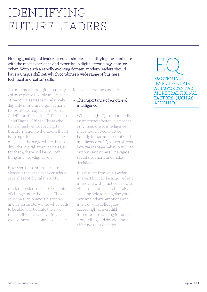## IDENTIFYING FUTURE LEADERS

Finding good digital leaders is not as simple as identifying the candidate with the most experience and expertise in digital technology, data, or cyber. With such a rapidly evolving domain, modern leaders should have a unique skill set, which combines a wide range of business, technical and 'softer' skills.

An orgainsation's digital maturity will also play a big role in the type of senior roles needed. Relatively digitally immature organisations for example, may benefit from a Chief Transformation Officer, or a Chief Digital Officer. Those who have already embraced digital transformation to the extent that it is an ingrained part of the business may be at the stage where they can drop the 'digital' from job titles, as for them, there will be no such thing as a non-digital role!

However, there are some core elements that need to be considered regardless of digital maturity.

Modern leaders need to be agents of change more than ever. They must be a visionary, a disrupter and a master storyteller who needs to be able to articulate the art of the possible to a wide variety of groups, hierarchies and stakeholders.

#### Key considerations include:

#### $\star$  The importance of emotional intelligence

While a high IQ is undoubtedly an important factor, it is not the only measure of intelligence that should be considered. Equally important is emotional intelligence or EQ, which affects how we manage behaviour (both our own and others'), navigate social situations and make decisions.

It is distinct from one's wider intellect but can be acquired and improved with practice. It is also vital in senior leadership roles, as being able to recognise your own and others' emotions and interact with colleagues accordingly is incredibly important to building influence, story telling and developing effective relationships.

### EQ EMOTIONAL INTELLIGENCE IS AS IMPORTANT AS MORE TRADITIONAL FACTORS, SUCH AS A HIGH IQ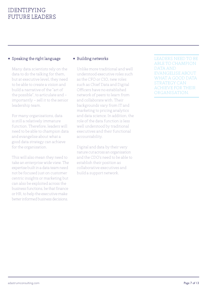### IDENTIFYING FUTURE LEADERS

### $\star$  Speaking the right language

Many data scientists rely on the data to do the talking for them, but at executive level, they need to be able to create a vision and build a narrative of the "art of the possible", to articulate and – importantly – sell it to the senior leadership team.

For many organisations, data is still a relatively immature function. Therefore, leaders will need to be able to champion data and evangelise about what a good data strategy can achieve for the organisation.

This will also mean they need to take an enterprise wide view. The expertise built in a data team need not be focused just on customer centric insights or marketing but can also be exploited across the business functions, be that finance or HR, to help the executive make better informed business decisions.

### $\star$  Building networks

Unlike more traditional and well understood executive roles such as the CFO or CIO, new roles such as Chief Data and Digital Officers have no established network of peers to learn from and collaborate with. Their backgrounds vary from IT and marketing to pricing analytics and data science. In addition, the role of the data function is less well understood by traditional executives and their functional accountability.

Digital and data by their very nature cut across an organisation and the CDO's need to be able to establish their position as collaborative executives and build a support network.

LEADERS NEED TO BE ABLE TO CHAMPION DATA AND EVANGELISE ABOUT WHAT A GOOD DATA STRATEGY CAN ACHIEVE FOR THEIR ORGANISATION.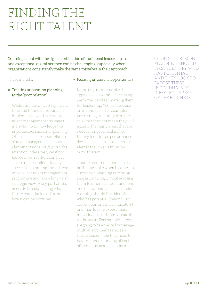## FINDING THE RIGHT TALENT

Sourcing talent with the right combination of traditional leadership skills and exceptional digital acumen can be challenging, especially when organisations consistently make the same mistakes in their approach.

#### These include:

#### $\star$  Treating succession planning as the 'poor relation'

While businesses invest significant time and financial resource in implementing and executing talent management strategies, many fail to acknowledge the importance of succession planning. Often seen as the 'poor relation' of talent management, succession planning is not always given the attention it deserves, yet if not looked at correctly, it can have severe repercussions. Ideally, succession planning should feed into a wider talent management programme and take a long-term strategic view. A key part of this needs to be establishing what future potential looks like and how it can be nurtured.

#### $\star$  Focusing on current top performers

Many organisations take the approach of looking at current top performers and ear marking them for leadership. Yet just because an individual is, for example, performing brilliantly in a sales role, this does not mean they will excel in the many areas that are needed for good leadership. Merely focusing on performance does not take into account crucial elements such as aspiration or motivation.

Another common approach that businesses take when it comes to succession planning is to bring people up in silos, without exposing them to other business functions and operations. Good succession planning should first identify who has potential (beyond just current performance indicators) and then look to expose these individuals to different areas of the business. For example, if they are going to be expected to manage multi-disciplined teams as a future leader, then they need to have an understanding of each of those business disciplines.

GOOD SUCCESSION PLANNING SHOULD FIRST IDENTIFY WHO HAS POTENTIAL AND THEN LOOK TO EXPOSE THESE INDIVIDUALS TO DIFFERENT AREAS OF THE BUSINESS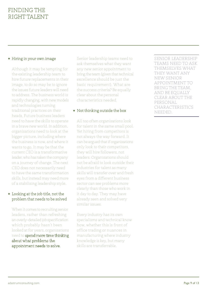### $\star$  Hiring in your own image

Although it may be tempting for the existing leadership team to hire future replacements in their image, to do so may be to ignore the issues future leaders will need to address. The business world is rapidly changing, with new models and technologies turning traditional practices on their heads. Future business leaders need to have the skills to operate in a brave new world. In addition, organisations need to look at the bigger picture, including where the business is now, and where it wants to go. It may be that the current CEO is a transformative leader, who has taken the company on a journey of change. The next CEO does not necessarily need to have the same transformation skills, but instead may need more of a stabilising leadership style.

#### $\star$  Looking at the job title, not the problem that needs to be solved

When it comes to recruiting senior leaders, rather than refreshing an overly-detailed job specification which probably hasn't been looked at for years, organisations need to spend more time thinking about what problems the appointment needs to solve.

Senior leadership teams need to ask themselves what they want any new senior appointment to bring the team (given that technical excellence should be just the basic requirement). What are the success criteria? Be equally clear about the personal characteristics needed.

### $\star$  Not thinking outside the box

All too often organisations look for talent in the same small pool. Yet hiring from competitors is not always the way forward. It can be argued that if organisations only look to their competitors, they will hire followers, not leaders. Organisations should not be afraid to look outside their industries for talent as many skills will transfer over and fresh eyes from a different business sector can see problems more clearly than those who work in it day to day. They may have already seen and solved very similar issues.

Every industry has its own specialisms and technical know how, whether this is front of office trading or nuances in manufacturing where industry knowledge is key, but many skills are transferrable.

SENIOR LEADERSHIP TEAMS NEED TO ASK THEMSELVES WHAT THEY WANT ANY NEW SENIOR APPOINTMENT TO BRING THE TEAM, AND BE EQUALLY CLEAR ABOUT THE PERSONAL CHARACTERISTICS NEEDED.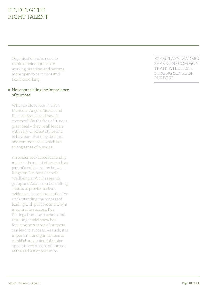### FINDING THE RIGHT TALENT

Organisations also need to rethink their approach to working practices and become more open to part-time and flexible working.

### $\star$  Not appreciating the importance of purpose

What do Steve Jobs, Nelson Mandela, Angela Merkel and Richard Branson all have in common? On the face of it, not a great deal – they're all leaders with very different styles and behaviours. But they do share one common trait, which is a strong sense of purpose.

An evidenced-based leadership model – the result of research as part of a collaboration between Kingston Business School's Wellbeing at Work research group and Adastrum Consulting – looks to provide a clear, evidenced-based foundation for understanding the process of leading with purpose and why it is central to success. Key findings from the research and resulting model show how focusing on a sense of purpose can lead to success. As such, it is important for organisations to establish any potential senior appointment's sense of purpose at the earliest opportunity.

EXEMPLARY LEADERS SHARE ONE COMMON TRAIT, WHICH IS A STRONG SENSE OF PURPOSE.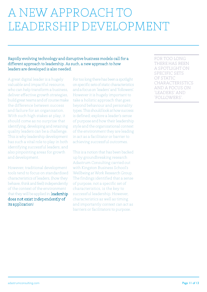### A NEW APPROACH TO LEADERSHIP DEVELOPMENT

### Rapidly evolving technology and disruptive business models call for a different approach to leadership. As such, a new approach to how leaders are developed is also needed.

A great digital leader is a hugely valuable and impactful resource, who can help transform a business, deliver effective growth strategies, build great teams and of course make the difference between success and failure for an organisation. With such high stakes at play, it should come as no surprise that identifying, developing and retaining quality leaders can be a challenge. This is why leadership development has such a vital role to play in both identifying successful leaders, and also pinpointing areas for growth and development.

However, traditional development tools tend to focus on standardised characteristics of leaders, (how they behave, think and feel) independently of the context of the environment that they will be applied in; leadership does not exist independently of its application!

For too long there has been a spotlight on specific sets of static characteristics and a focus on 'leaders' and 'followers'. However it is hugely important to take a holistic approach that goes beyond behaviour and personality types. This should look at how success is defined; explore a leader's sense of purpose and how their leadership style and the organisational context of the environment they are leading in act as a facilitator or barrier to achieving successful outcomes.

This is a notion that has been backed up by groundbreaking research Adastrum Consulting carried out with Kingston Business School's Wellbeing at Work Research Group. The findings identified that a sense of purpose, not a specific set of characteristics, is the key to successful leadership. However, characteristics as well as timing and importantly context can act as barriers or facilitators to purpose.

FOR TOO LONG THERE HAS BEEN A SPOTLIGHT ON SPECIFIC SETS OF STATIC CHARACTERISTICS AND A FOCUS ON 'LEADERS' AND 'FOLLOWERS'.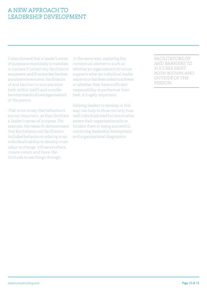### A NEW APPROACH TO LEADERSHIP DEVELOPMENT

It also showed that a leader's sense of purpose is more likely to translate to success if certain key facilitators are present, and if certain key barriers are absent/overcome. Facilitators of and barriers to success exist both within (self) and outside (environment/culture/organisation) of the person.

That is not to say that behaviours are not important, as they facilitate a leader's sense of purpose. For example, the research demonstrated that key behavioural facilitators included behaviours relating to an individual's ability to develop trust, adapt to change, influence others, create vision and have the fortitude to see things through.

In the same way, exploring key contextual elements such as whether an organisation's structure supports what an individual leader wants to or has been asked to achieve or whether they have sufficient responsibility to perform at their best, is hugely important.

Helping leaders to develop in this way can help to show not only how well individuals lead but also to what extent their organisation aids or hinders them in being successful, combining leadership development and organisational diagnostics.

FACILITATORS OF AND BARRIERS TO SUCCESS EXIST BOTH WITHIN AND OUTSIDE OF THE PERSON.